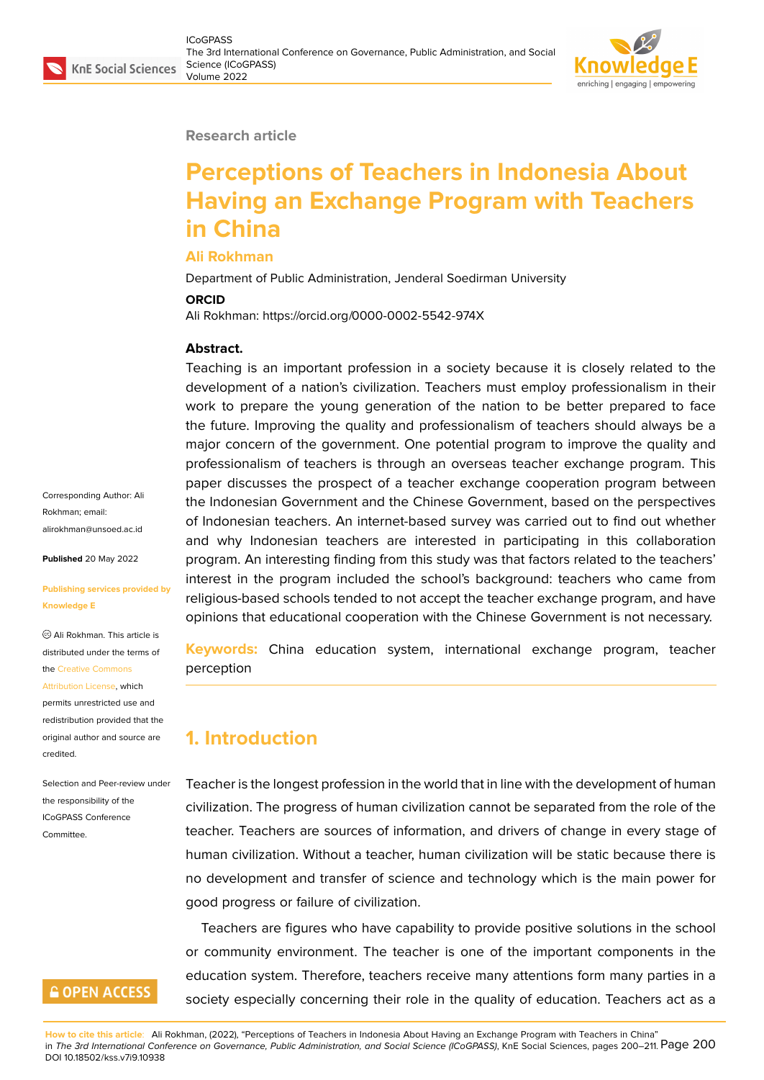#### **Research article**

# **Perceptions of Teachers in Indonesia About Having an Exchange Program with Teachers in China**

#### **Ali Rokhman**

Department of Public Administration, Jenderal Soedirman University

#### **ORCID**

Ali Rokhman: https://orcid.org/0000-0002-5542-974X

#### **Abstract.**

Teaching is an important profession in a society because it is closely related to the development of a nation's civilization. Teachers must employ professionalism in their work to prepare the young generation of the nation to be better prepared to face the future. Improving the quality and professionalism of teachers should always be a major concern of the government. One potential program to improve the quality and professionalism of teachers is through an overseas teacher exchange program. This paper discusses the prospect of a teacher exchange cooperation program between the Indonesian Government and the Chinese Government, based on the perspectives of Indonesian teachers. An internet-based survey was carried out to find out whether and why Indonesian teachers are interested in participating in this collaboration program. An interesting finding from this study was that factors related to the teachers' interest in the program included the school's background: teachers who came from religious-based schools tended to not accept the teacher exchange program, and have opinions that educational cooperation with the Chinese Government is not necessary.

**Keywords:** China education system, international exchange program, teacher perception

## **1. Introduction**

Teacher is the longest profession in the world that in line with the development of human civilization. The progress of human civilization cannot be separated from the role of the teacher. Teachers are sources of information, and drivers of change in every stage of human civilization. Without a teacher, human civilization will be static because there is no development and transfer of science and technology which is the main power for good progress or failure of civilization.

Teachers are figures who have capability to provide positive solutions in the school or community environment. The teacher is one of the important components in the education system. Therefore, teachers receive many attentions form many parties in a society especially concerning their role in the quality of education. Teachers act as a

alirokhman@unsoed.ac.id **Published** 20 May 2022

Corresponding Author: Ali Rokhman; email:

#### **[Publishing services provi](mailto:alirokhman@unsoed.ac.id)ded by Knowledge E**

Ali Rokhman. This article is distributed under the terms of the Creative Commons

Attribution License, which permits unrestricted use and redistribution provided that the orig[inal author and sou](https://creativecommons.org/licenses/by/4.0/)rce are [credited.](https://creativecommons.org/licenses/by/4.0/)

#### Selection and Peer-review under the responsibility of the ICoGPASS Conference **Committee**

### **GOPEN ACCESS**

**How to cite this article**: Ali Rokhman, (2022), "Perceptions of Teachers in Indonesia About Having an Exchange Program with Teachers in China" in *The 3rd International Conference on Governance, Public Administration, and Social Science (ICoGPASS)*, KnE Social Sciences, pages 200–211. Page 200 DOI 10.18502/kss.v7i9.10938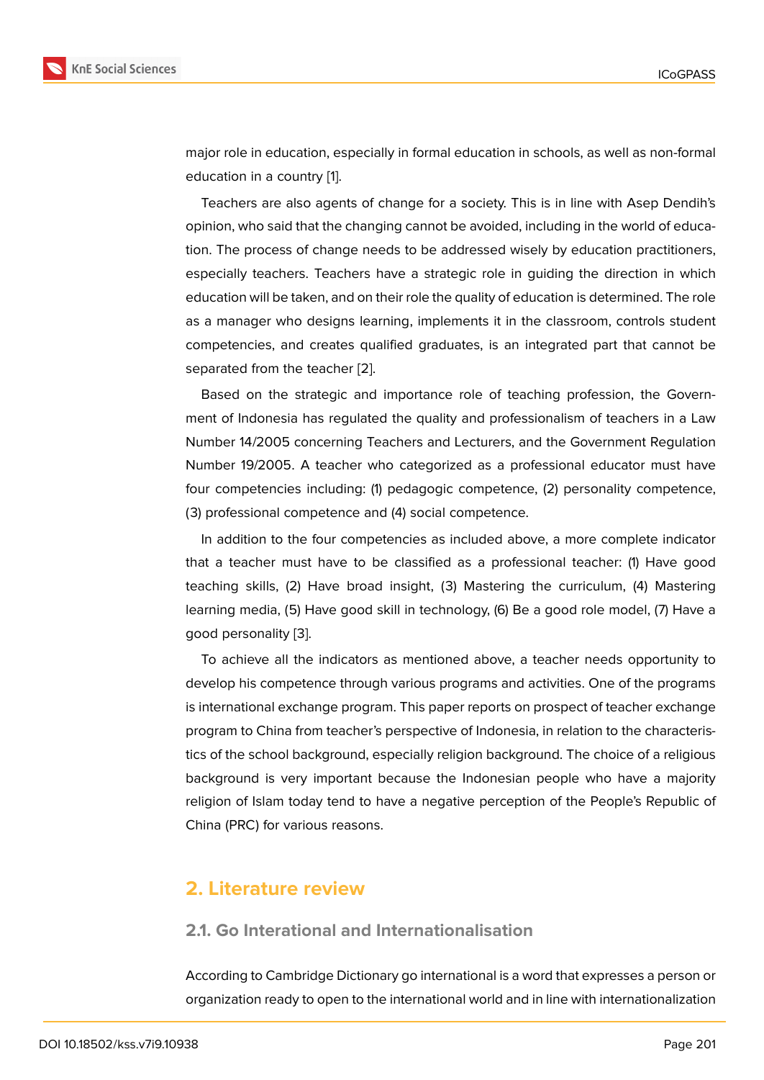major role in education, especially in formal education in schools, as well as non-formal education in a country [1].

Teachers are also agents of change for a society. This is in line with Asep Dendih's opinion, who said that the changing cannot be avoided, including in the world of education. The process of ch[an](#page-9-0)ge needs to be addressed wisely by education practitioners, especially teachers. Teachers have a strategic role in guiding the direction in which education will be taken, and on their role the quality of education is determined. The role as a manager who designs learning, implements it in the classroom, controls student competencies, and creates qualified graduates, is an integrated part that cannot be separated from the teacher [2].

Based on the strategic and importance role of teaching profession, the Government of Indonesia has regulated the quality and professionalism of teachers in a Law Number 14/2005 concernin[g T](#page-9-1)eachers and Lecturers, and the Government Regulation Number 19/2005. A teacher who categorized as a professional educator must have four competencies including: (1) pedagogic competence, (2) personality competence, (3) professional competence and (4) social competence.

In addition to the four competencies as included above, a more complete indicator that a teacher must have to be classified as a professional teacher: (1) Have good teaching skills, (2) Have broad insight, (3) Mastering the curriculum, (4) Mastering learning media, (5) Have good skill in technology, (6) Be a good role model, (7) Have a good personality [3].

To achieve all the indicators as mentioned above, a teacher needs opportunity to develop his competence through various programs and activities. One of the programs is international ex[ch](#page-9-2)ange program. This paper reports on prospect of teacher exchange program to China from teacher's perspective of Indonesia, in relation to the characteristics of the school background, especially religion background. The choice of a religious background is very important because the Indonesian people who have a majority religion of Islam today tend to have a negative perception of the People's Republic of China (PRC) for various reasons.

### **2. Literature review**

#### **2.1. Go Interational and Internationalisation**

According to Cambridge Dictionary go international is a word that expresses a person or organization ready to open to the international world and in line with internationalization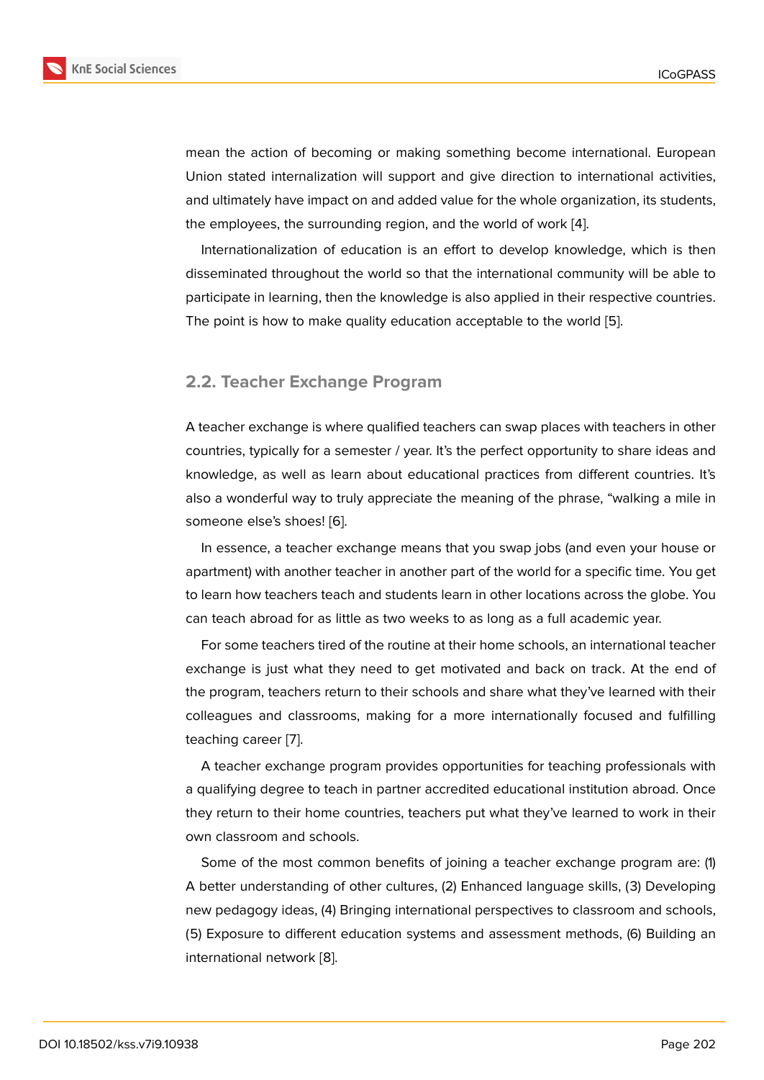mean the action of becoming or making something become international. European Union stated internalization will support and give direction to international activities, and ultimately have impact on and added value for the whole organization, its students, the employees, the surrounding region, and the world of work [4].

Internationalization of education is an effort to develop knowledge, which is then disseminated throughout the world so that the international community will be able to participate in learning, then the knowledge is also applied in th[eir](#page-10-0) respective countries. The point is how to make quality education acceptable to the world [5].

#### **2.2. Teacher Exchange Program**

A teacher exchange is where qualified teachers can swap places with teachers in other countries, typically for a semester / year. It's the perfect opportunity to share ideas and knowledge, as well as learn about educational practices from different countries. It's also a wonderful way to truly appreciate the meaning of the phrase, "walking a mile in someone else's shoes! [6].

In essence, a teacher exchange means that you swap jobs (and even your house or apartment) with another teacher in another part of the world for a specific time. You get to learn how teachers t[eac](#page-10-1)h and students learn in other locations across the globe. You can teach abroad for as little as two weeks to as long as a full academic year.

For some teachers tired of the routine at their home schools, an international teacher exchange is just what they need to get motivated and back on track. At the end of the program, teachers return to their schools and share what they've learned with their colleagues and classrooms, making for a more internationally focused and fulfilling teaching career [7].

A teacher exchange program provides opportunities for teaching professionals with a qualifying degree to teach in partner accredited educational institution abroad. Once they return to th[ei](#page-10-2)r home countries, teachers put what they've learned to work in their own classroom and schools.

Some of the most common benefits of joining a teacher exchange program are: (1) A better understanding of other cultures, (2) Enhanced language skills, (3) Developing new pedagogy ideas, (4) Bringing international perspectives to classroom and schools, (5) Exposure to different education systems and assessment methods, (6) Building an international network [8].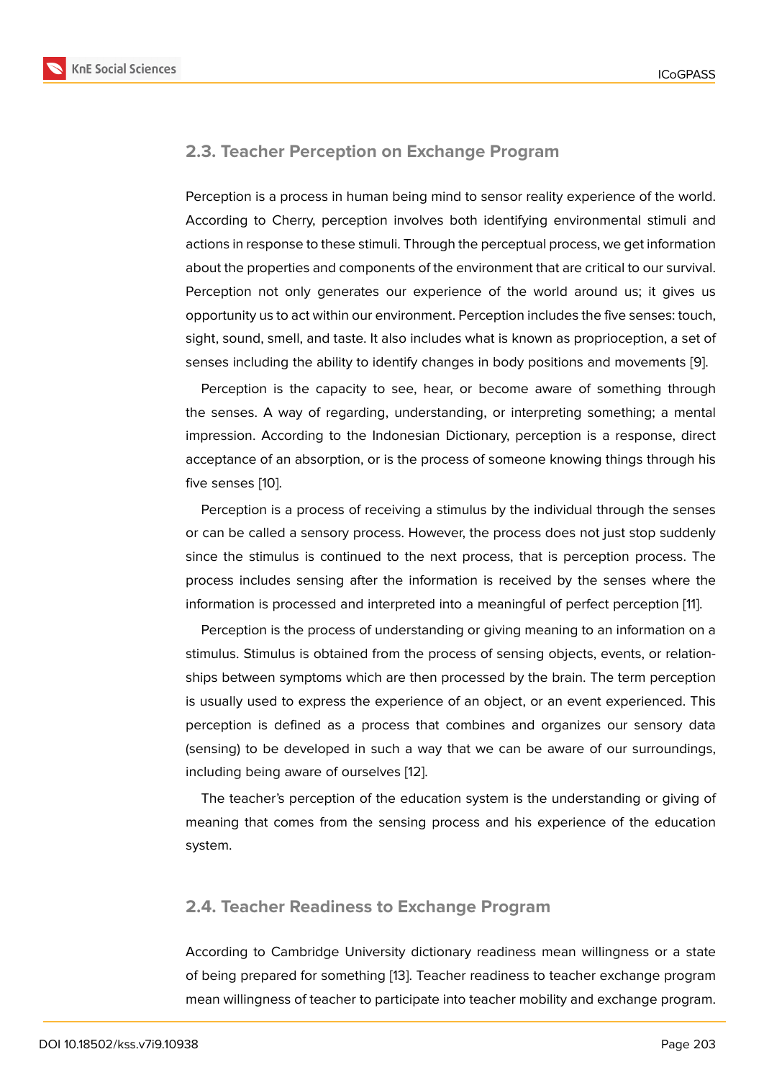#### **2.3. Teacher Perception on Exchange Program**

Perception is a process in human being mind to sensor reality experience of the world. According to Cherry, perception involves both identifying environmental stimuli and actions in response to these stimuli. Through the perceptual process, we get information about the properties and components of the environment that are critical to our survival. Perception not only generates our experience of the world around us; it gives us opportunity us to act within our environment. Perception includes the five senses: touch, sight, sound, smell, and taste. It also includes what is known as proprioception, a set of senses including the ability to identify changes in body positions and movements [9].

Perception is the capacity to see, hear, or become aware of something through the senses. A way of regarding, understanding, or interpreting something; a mental impression. According to the Indonesian Dictionary, perception is a response, di[re](#page-10-3)ct acceptance of an absorption, or is the process of someone knowing things through his five senses [10].

Perception is a process of receiving a stimulus by the individual through the senses or can be called a sensory process. However, the process does not just stop suddenly since the st[imu](#page-10-4)lus is continued to the next process, that is perception process. The process includes sensing after the information is received by the senses where the information is processed and interpreted into a meaningful of perfect perception [11].

Perception is the process of understanding or giving meaning to an information on a stimulus. Stimulus is obtained from the process of sensing objects, events, or relationships between symptoms which are then processed by the brain. The term perce[pt](#page-10-5)ion is usually used to express the experience of an object, or an event experienced. This perception is defined as a process that combines and organizes our sensory data (sensing) to be developed in such a way that we can be aware of our surroundings, including being aware of ourselves [12].

The teacher's perception of the education system is the understanding or giving of meaning that comes from the sens[ing](#page-10-6) process and his experience of the education system.

#### **2.4. Teacher Readiness to Exchange Program**

According to Cambridge University dictionary readiness mean willingness or a state of being prepared for something [13]. Teacher readiness to teacher exchange program mean willingness of teacher to participate into teacher mobility and exchange program.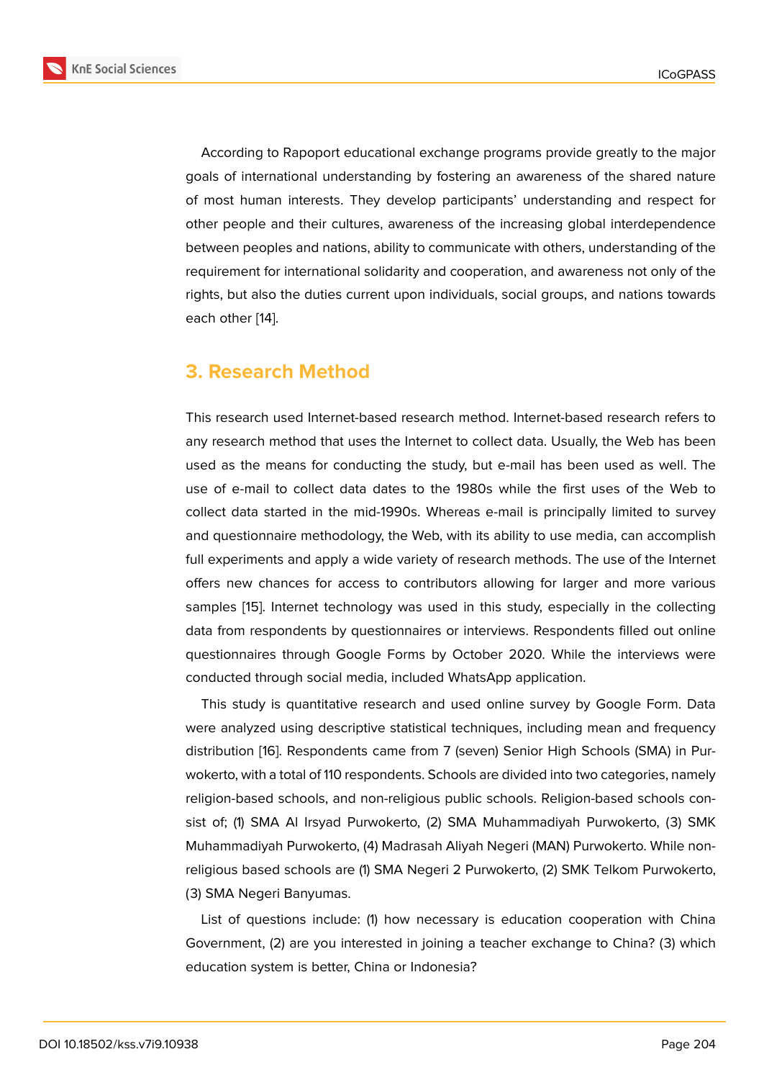According to Rapoport educational exchange programs provide greatly to the major goals of international understanding by fostering an awareness of the shared nature of most human interests. They develop participants' understanding and respect for other people and their cultures, awareness of the increasing global interdependence between peoples and nations, ability to communicate with others, understanding of the requirement for international solidarity and cooperation, and awareness not only of the rights, but also the duties current upon individuals, social groups, and nations towards each other [14].

### **3. Rese[arc](#page-10-7)h Method**

This research used Internet-based research method. Internet-based research refers to any research method that uses the Internet to collect data. Usually, the Web has been used as the means for conducting the study, but e-mail has been used as well. The use of e-mail to collect data dates to the 1980s while the first uses of the Web to collect data started in the mid-1990s. Whereas e-mail is principally limited to survey and questionnaire methodology, the Web, with its ability to use media, can accomplish full experiments and apply a wide variety of research methods. The use of the Internet offers new chances for access to contributors allowing for larger and more various samples [15]. Internet technology was used in this study, especially in the collecting data from respondents by questionnaires or interviews. Respondents filled out online questionnaires through Google Forms by October 2020. While the interviews were conducte[d t](#page-10-8)hrough social media, included WhatsApp application.

This study is quantitative research and used online survey by Google Form. Data were analyzed using descriptive statistical techniques, including mean and frequency distribution [16]. Respondents came from 7 (seven) Senior High Schools (SMA) in Purwokerto, with a total of 110 respondents. Schools are divided into two categories, namely religion-based schools, and non-religious public schools. Religion-based schools consist of; (1) S[MA](#page-10-9) Al Irsyad Purwokerto, (2) SMA Muhammadiyah Purwokerto, (3) SMK Muhammadiyah Purwokerto, (4) Madrasah Aliyah Negeri (MAN) Purwokerto. While nonreligious based schools are (1) SMA Negeri 2 Purwokerto, (2) SMK Telkom Purwokerto, (3) SMA Negeri Banyumas.

List of questions include: (1) how necessary is education cooperation with China Government, (2) are you interested in joining a teacher exchange to China? (3) which education system is better, China or Indonesia?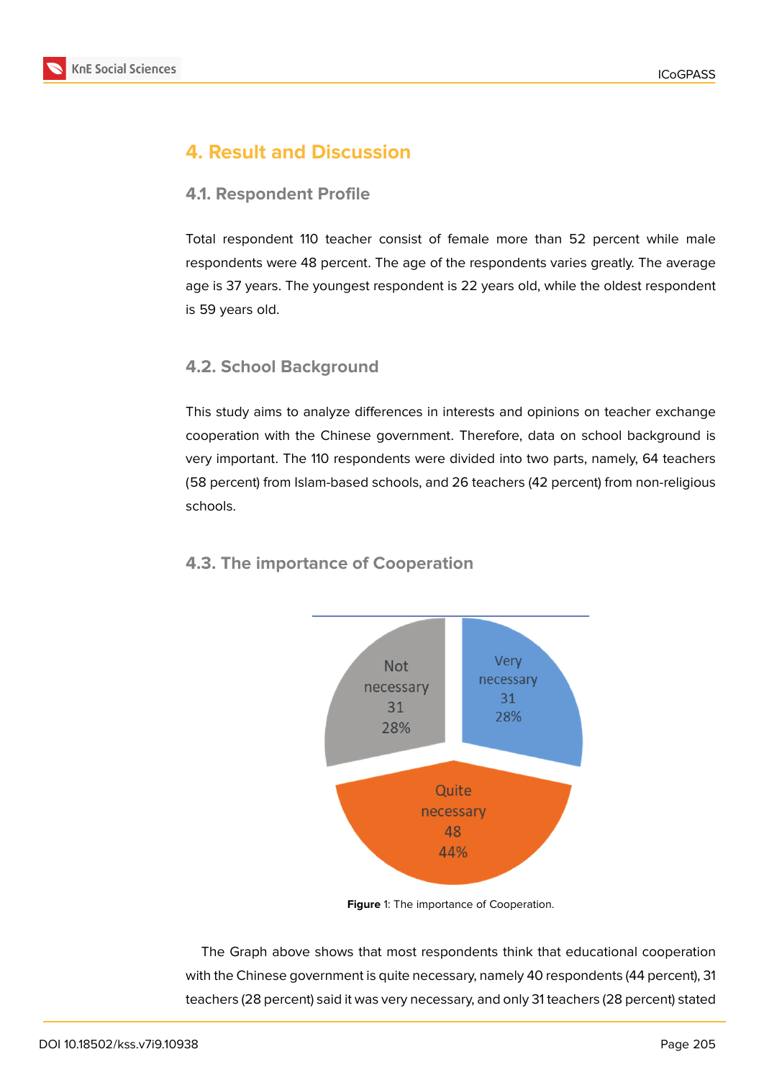

# **4. Result and Discussion**

### **4.1. Respondent Profile**

Total respondent 110 teacher consist of female more than 52 percent while male respondents were 48 percent. The age of the respondents varies greatly. The average age is 37 years. The youngest respondent is 22 years old, while the oldest respondent is 59 years old.

### **4.2. School Background**

This study aims to analyze differences in interests and opinions on teacher exchange cooperation with the Chinese government. Therefore, data on school background is very important. The 110 respondents were divided into two parts, namely, 64 teachers (58 percent) from Islam-based schools, and 26 teachers (42 percent) from non-religious schools.

### **4.3. The importance of Cooperation**



**Figure** 1: The importance of Cooperation.

The Graph above shows that most respondents think that educational cooperation with the Chinese government is quite necessary, namely 40 respondents (44 percent), 31 teachers (28 percent) said it was very necessary, and only 31 teachers (28 percent) stated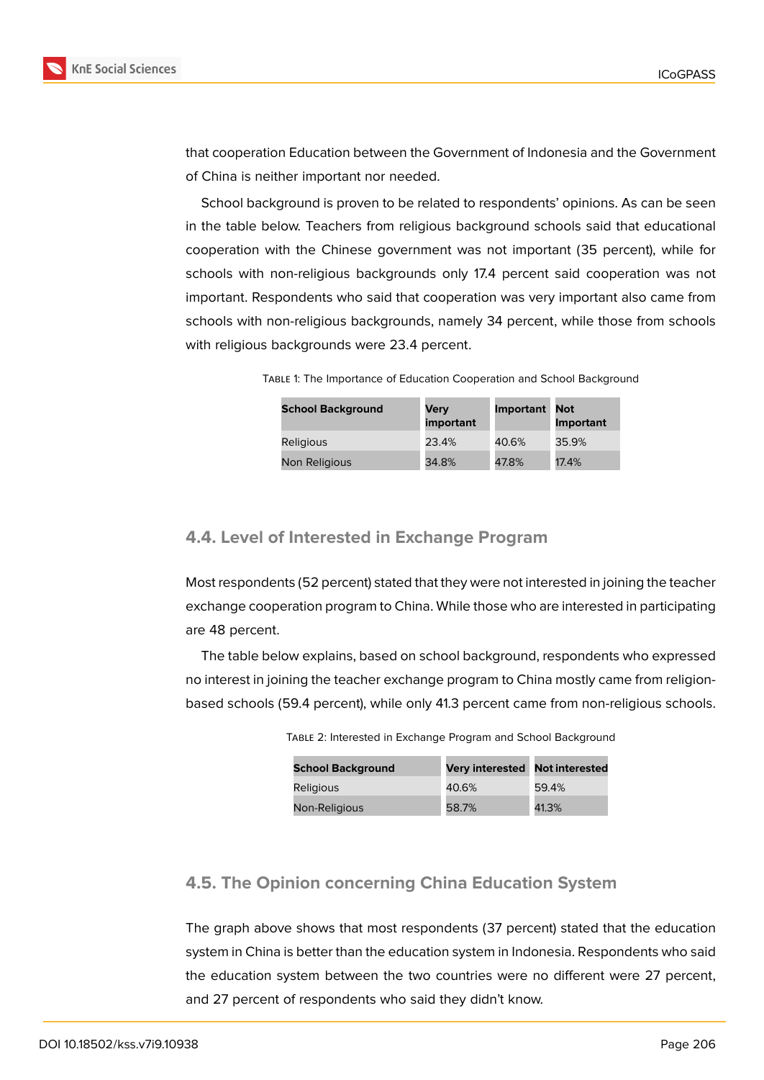

that cooperation Education between the Government of Indonesia and the Government of China is neither important nor needed.

School background is proven to be related to respondents' opinions. As can be seen in the table below. Teachers from religious background schools said that educational cooperation with the Chinese government was not important (35 percent), while for schools with non-religious backgrounds only 17.4 percent said cooperation was not important. Respondents who said that cooperation was very important also came from schools with non-religious backgrounds, namely 34 percent, while those from schools with religious backgrounds were 23.4 percent.

Table 1: The Importance of Education Cooperation and School Background

| <b>School Background</b> | Very<br>important | <b>Important</b> | Not<br><b>Important</b> |
|--------------------------|-------------------|------------------|-------------------------|
| <b>Religious</b>         | 23.4%             | 40.6%            | 35.9%                   |
| Non Religious            | 34.8%             | 47.8%            | 17.4%                   |

#### **4.4. Level of Interested in Exchange Program**

Most respondents (52 percent) stated that they were not interested in joining the teacher exchange cooperation program to China. While those who are interested in participating are 48 percent.

The table below explains, based on school background, respondents who expressed no interest in joining the teacher exchange program to China mostly came from religionbased schools (59.4 percent), while only 41.3 percent came from non-religious schools.

| <b>School Background</b> | Very interested Not interested |       |
|--------------------------|--------------------------------|-------|
| Religious                | 40.6%                          | 59.4% |
| Non-Religious            | 58.7%                          | 41.3% |

Table 2: Interested in Exchange Program and School Background

### **4.5. The Opinion concerning China Education System**

The graph above shows that most respondents (37 percent) stated that the education system in China is better than the education system in Indonesia. Respondents who said the education system between the two countries were no different were 27 percent, and 27 percent of respondents who said they didn't know.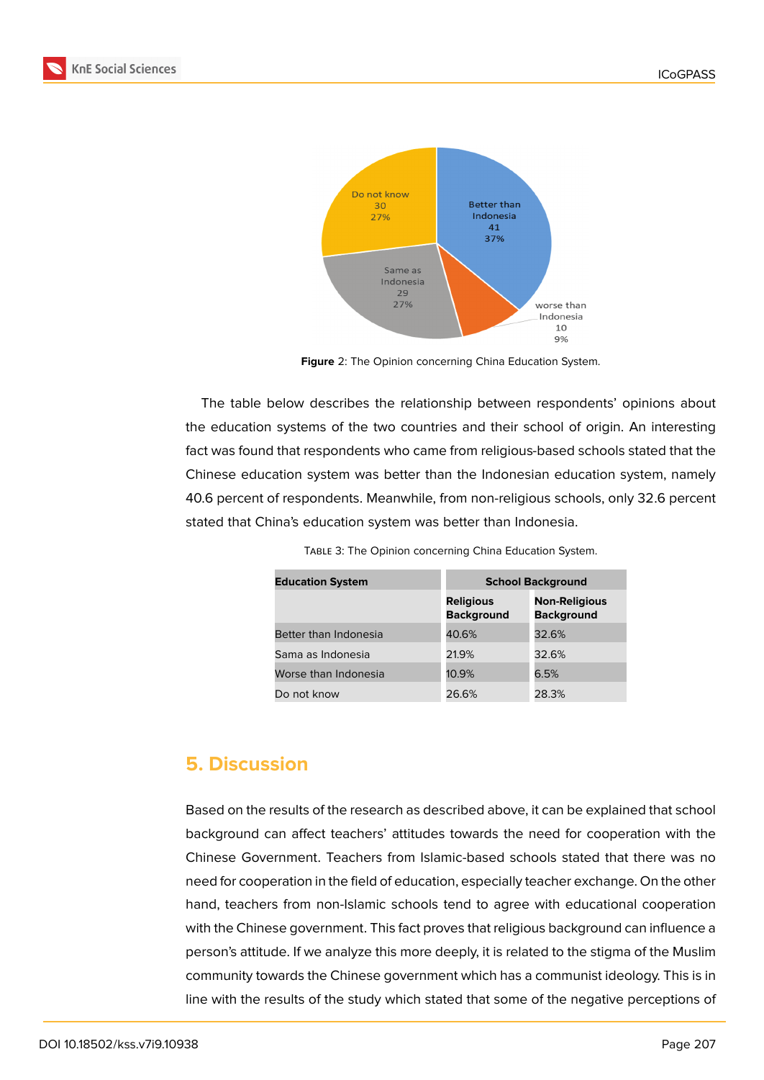



**Figure** 2: The Opinion concerning China Education System.

The table below describes the relationship between respondents' opinions about the education systems of the two countries and their school of origin. An interesting fact was found that respondents who came from religious-based schools stated that the Chinese education system was better than the Indonesian education system, namely 40.6 percent of respondents. Meanwhile, from non-religious schools, only 32.6 percent stated that China's education system was better than Indonesia.

TABLE 3: The Opinion concerning China Education System.

| <b>Education System</b> | <b>School Background</b>              |                                           |  |
|-------------------------|---------------------------------------|-------------------------------------------|--|
|                         | <b>Religious</b><br><b>Background</b> | <b>Non-Religious</b><br><b>Background</b> |  |
| Better than Indonesia   | 40.6%                                 | 32.6%                                     |  |
| Sama as Indonesia       | 21.9%                                 | 32.6%                                     |  |
| Worse than Indonesia    | 10.9%                                 | 6.5%                                      |  |
| Do not know             | 26.6%                                 | 28.3%                                     |  |

### **5. Discussion**

Based on the results of the research as described above, it can be explained that school background can affect teachers' attitudes towards the need for cooperation with the Chinese Government. Teachers from Islamic-based schools stated that there was no need for cooperation in the field of education, especially teacher exchange. On the other hand, teachers from non-Islamic schools tend to agree with educational cooperation with the Chinese government. This fact proves that religious background can influence a person's attitude. If we analyze this more deeply, it is related to the stigma of the Muslim community towards the Chinese government which has a communist ideology. This is in line with the results of the study which stated that some of the negative perceptions of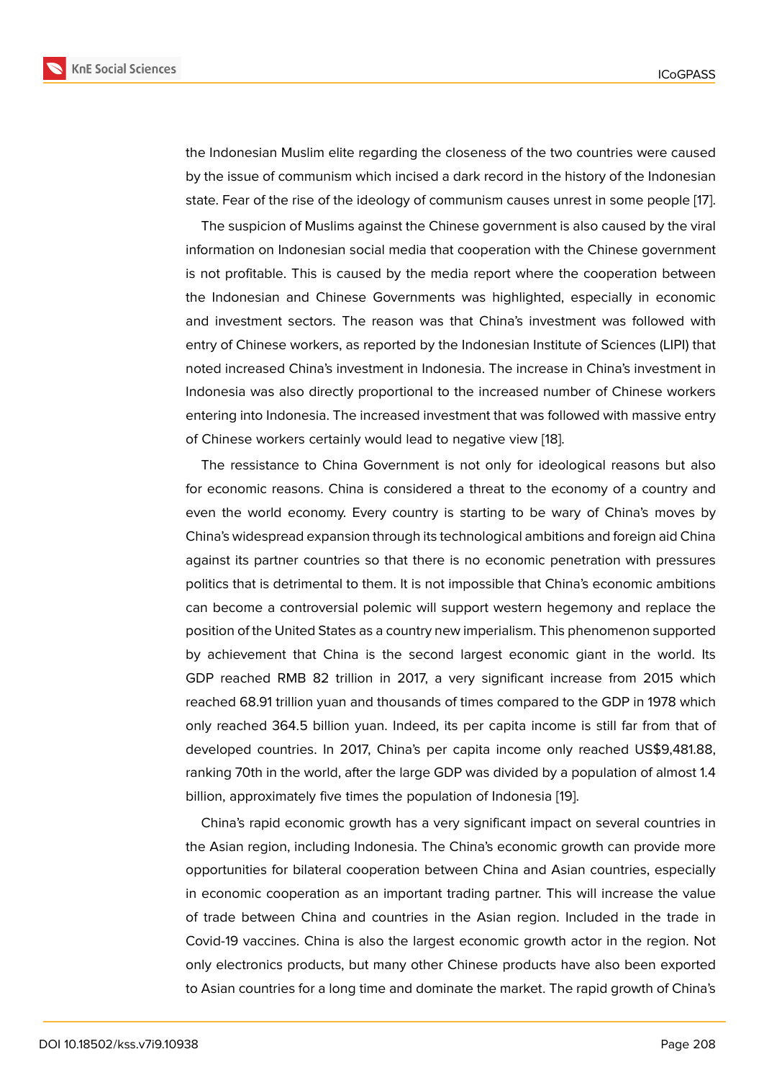the Indonesian Muslim elite regarding the closeness of the two countries were caused by the issue of communism which incised a dark record in the history of the Indonesian state. Fear of the rise of the ideology of communism causes unrest in some people [17].

The suspicion of Muslims against the Chinese government is also caused by the viral information on Indonesian social media that cooperation with the Chinese government is not profitable. This is caused by the media report where the cooperation betw[een](#page-10-10) the Indonesian and Chinese Governments was highlighted, especially in economic and investment sectors. The reason was that China's investment was followed with entry of Chinese workers, as reported by the Indonesian Institute of Sciences (LIPI) that noted increased China's investment in Indonesia. The increase in China's investment in Indonesia was also directly proportional to the increased number of Chinese workers entering into Indonesia. The increased investment that was followed with massive entry of Chinese workers certainly would lead to negative view [18].

The ressistance to China Government is not only for ideological reasons but also for economic reasons. China is considered a threat to the economy of a country and even the world economy. Every country is starting to b[e w](#page-10-11)ary of China's moves by China's widespread expansion through its technological ambitions and foreign aid China against its partner countries so that there is no economic penetration with pressures politics that is detrimental to them. It is not impossible that China's economic ambitions can become a controversial polemic will support western hegemony and replace the position of the United States as a country new imperialism. This phenomenon supported by achievement that China is the second largest economic giant in the world. Its GDP reached RMB 82 trillion in 2017, a very significant increase from 2015 which reached 68.91 trillion yuan and thousands of times compared to the GDP in 1978 which only reached 364.5 billion yuan. Indeed, its per capita income is still far from that of developed countries. In 2017, China's per capita income only reached US\$9,481.88, ranking 70th in the world, after the large GDP was divided by a population of almost 1.4 billion, approximately five times the population of Indonesia [19].

China's rapid economic growth has a very significant impact on several countries in the Asian region, including Indonesia. The China's economic growth can provide more opportunities for bilateral cooperation between China and [Asia](#page-11-0)n countries, especially in economic cooperation as an important trading partner. This will increase the value of trade between China and countries in the Asian region. Included in the trade in Covid-19 vaccines. China is also the largest economic growth actor in the region. Not only electronics products, but many other Chinese products have also been exported to Asian countries for a long time and dominate the market. The rapid growth of China's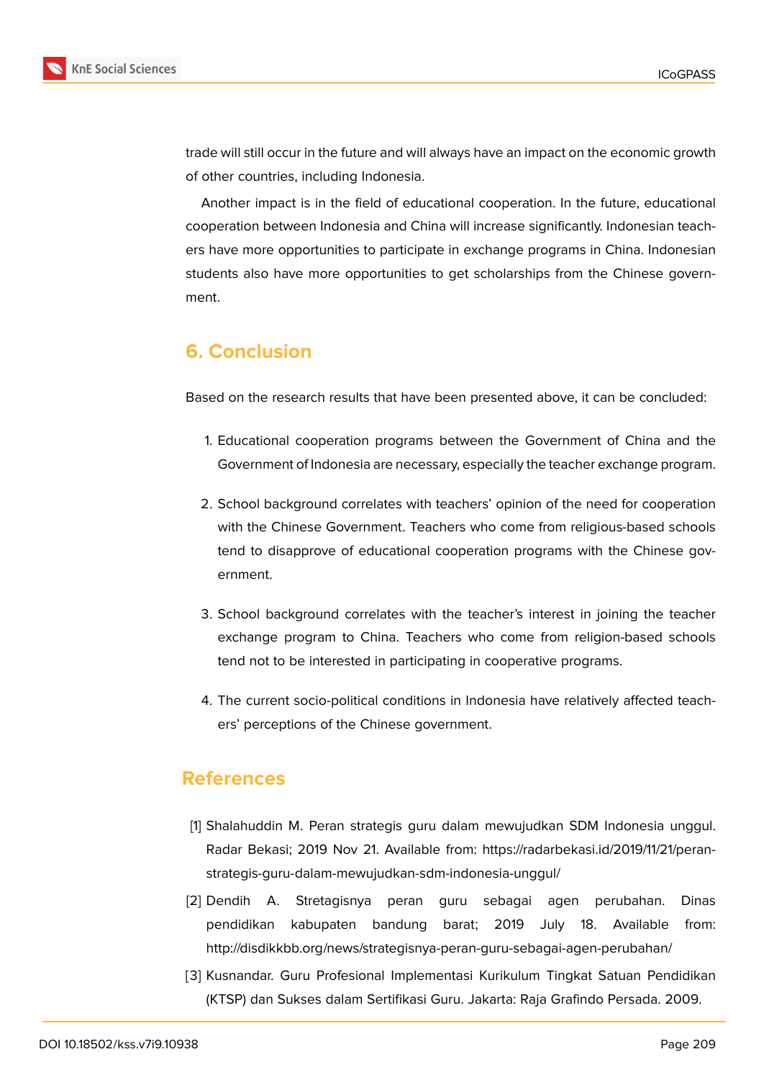

trade will still occur in the future and will always have an impact on the economic growth of other countries, including Indonesia.

Another impact is in the field of educational cooperation. In the future, educational cooperation between Indonesia and China will increase significantly. Indonesian teachers have more opportunities to participate in exchange programs in China. Indonesian students also have more opportunities to get scholarships from the Chinese government.

# **6. Conclusion**

Based on the research results that have been presented above, it can be concluded:

- 1. Educational cooperation programs between the Government of China and the Government of Indonesia are necessary, especially the teacher exchange program.
- 2. School background correlates with teachers' opinion of the need for cooperation with the Chinese Government. Teachers who come from religious-based schools tend to disapprove of educational cooperation programs with the Chinese government.
- 3. School background correlates with the teacher's interest in joining the teacher exchange program to China. Teachers who come from religion-based schools tend not to be interested in participating in cooperative programs.
- 4. The current socio-political conditions in Indonesia have relatively affected teachers' perceptions of the Chinese government.

### **References**

- <span id="page-9-0"></span>[1] Shalahuddin M. Peran strategis guru dalam mewujudkan SDM Indonesia unggul. Radar Bekasi; 2019 Nov 21. Available from: https://radarbekasi.id/2019/11/21/peranstrategis-guru-dalam-mewujudkan-sdm-indonesia-unggul/
- <span id="page-9-1"></span>[2] Dendih A. Stretagisnya peran guru sebagai agen perubahan. Dinas pendidikan kabupaten bandung barat; 2019 July 18. Available from: http://disdikkbb.org/news/strategisnya-peran-guru-sebagai-agen-perubahan/
- <span id="page-9-2"></span>[3] Kusnandar. Guru Profesional Implementasi Kurikulum Tingkat Satuan Pendidikan (KTSP) dan Sukses dalam Sertifikasi Guru. Jakarta: Raja Grafindo Persada. 2009.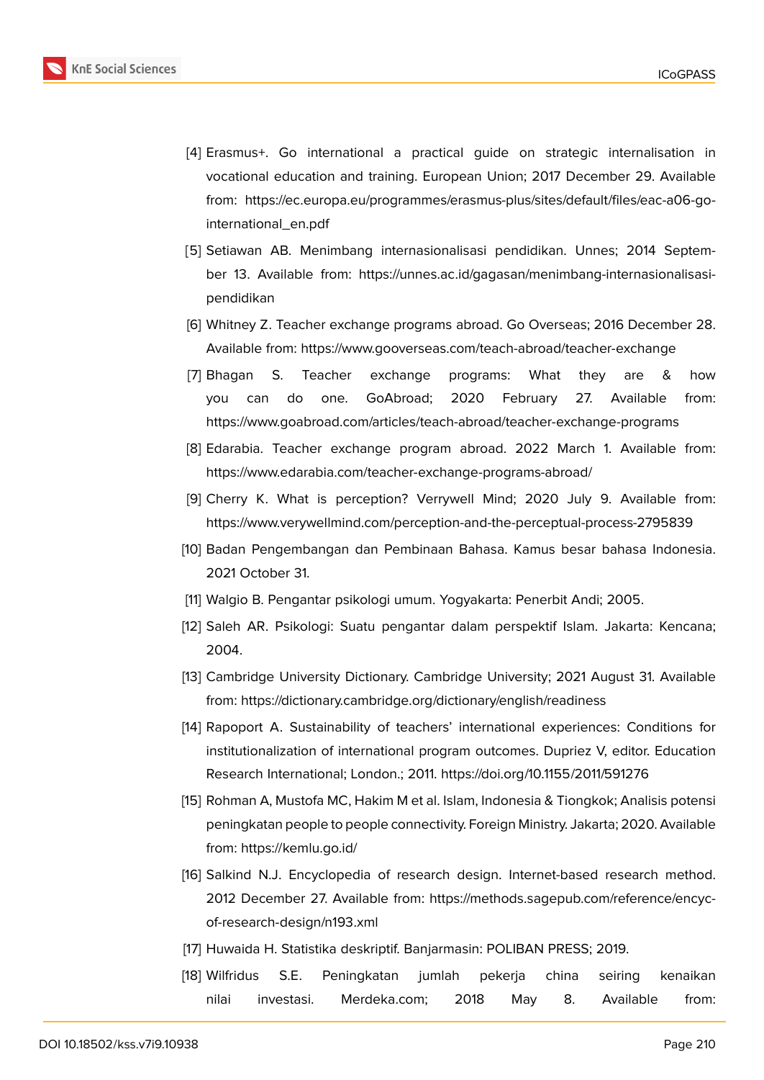- [4] Erasmus+. Go international a practical guide on strategic internalisation in vocational education and training. European Union; 2017 December 29. Available from: https://ec.europa.eu/programmes/erasmus-plus/sites/default/files/eac-a06-gointernational\_en.pdf
- <span id="page-10-0"></span>[5] Setiawan AB. Menimbang internasionalisasi pendidikan. Unnes; 2014 September 13. Available from: https://unnes.ac.id/gagasan/menimbang-internasionalisasipendidikan
- [6] Whitney Z. Teacher exchange programs abroad. Go Overseas; 2016 December 28. Available from: https://www.gooverseas.com/teach-abroad/teacher-exchange
- <span id="page-10-1"></span>[7] Bhagan S. Teacher exchange programs: What they are & how you can do one. GoAbroad; 2020 February 27. Available from: https://www.goabroad.com/articles/teach-abroad/teacher-exchange-programs
- <span id="page-10-2"></span>[8] Edarabia. Teacher exchange program abroad. 2022 March 1. Available from: https://www.edarabia.com/teacher-exchange-programs-abroad/
- [9] Cherry K. What is perception? Verrywell Mind; 2020 July 9. Available from: https://www.verywellmind.com/perception-and-the-perceptual-process-2795839
- <span id="page-10-3"></span>[10] Badan Pengembangan dan Pembinaan Bahasa. Kamus besar bahasa Indonesia. 2021 October 31.
- <span id="page-10-4"></span>[11] Walgio B. Pengantar psikologi umum. Yogyakarta: Penerbit Andi; 2005.
- <span id="page-10-5"></span>[12] Saleh AR. Psikologi: Suatu pengantar dalam perspektif Islam. Jakarta: Kencana; 2004.
- <span id="page-10-6"></span>[13] Cambridge University Dictionary. Cambridge University; 2021 August 31. Available from: https://dictionary.cambridge.org/dictionary/english/readiness
- [14] Rapoport A. Sustainability of teachers' international experiences: Conditions for institutionalization of international program outcomes. Dupriez V, editor. Education Research International; London.; 2011. https://doi.org/10.1155/2011/591276
- <span id="page-10-7"></span>[15] Rohman A, Mustofa MC, Hakim M et al. Islam, Indonesia & Tiongkok; Analisis potensi peningkatan people to people connectivity. Foreign Ministry. Jakarta; 2020. Available from: https://kemlu.go.id/
- <span id="page-10-8"></span>[16] Salkind N.J. Encyclopedia of research design. Internet-based research method. 2012 December 27. Available from: https://methods.sagepub.com/reference/encycof-res[earch-design/n193.x](https://kemlu.go.id/download/L3NpdGVzL3B1c2F0L0RvY3VtZW50cy9LYWppYW4lMjBCUFBLL1AzSzIlMjBBU1BBU0FGLzE4X0thamlhbiUyMEtlbWl0cmFhbl8yMDIwJTIwXy1fSXNsYW1fSW5kb25lc2lhXyUyNl9UaW9uZ2tva19GSU4ucGRm)ml
- <span id="page-10-9"></span>[17] Huwaida H. Statistika deskriptif. Banjarmasin: POLIBAN PRESS; 2019.
- <span id="page-10-11"></span><span id="page-10-10"></span>[18] Wilfridus S.E. Peningkatan jumlah pekerja china seiring kenaikan nilai investasi. Merdeka.com; 2018 May 8. Available from: